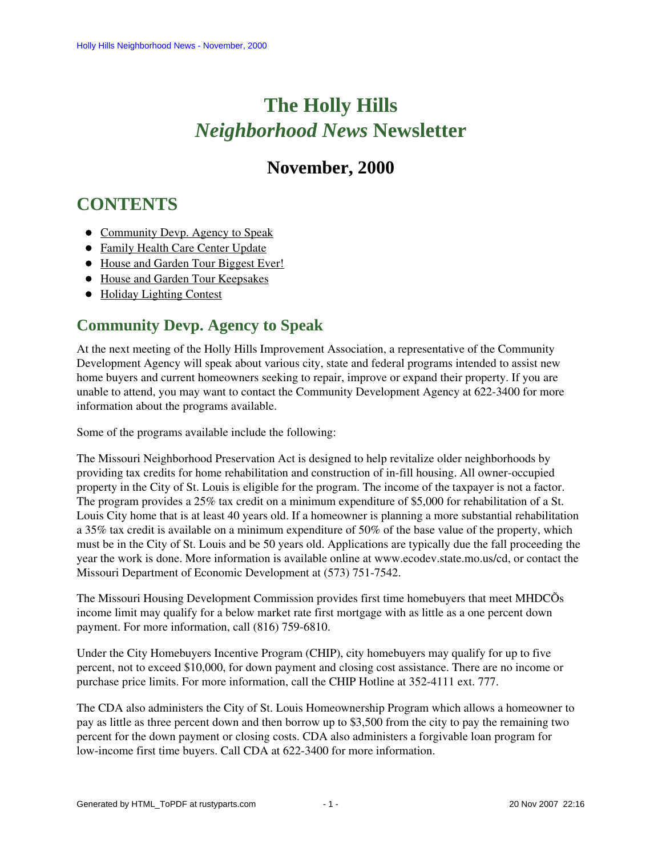# **The Holly Hills**  *Neighborhood News* **Newsletter**

# **November, 2000**

# <span id="page-0-1"></span>**CONTENTS**

- [Community Devp. Agency to Speak](#page-0-0)
- [Family Health Care Center Update](#page-1-0)
- [House and Garden Tour Biggest Ever!](#page-1-1)
- [House and Garden Tour Keepsakes](#page-2-0)
- [Holiday Lighting Contest](#page-3-0)

# <span id="page-0-0"></span>**Community Devp. Agency to Speak**

At the next meeting of the Holly Hills Improvement Association, a representative of the Community Development Agency will speak about various city, state and federal programs intended to assist new home buyers and current homeowners seeking to repair, improve or expand their property. If you are unable to attend, you may want to contact the Community Development Agency at 622-3400 for more information about the programs available.

Some of the programs available include the following:

The Missouri Neighborhood Preservation Act is designed to help revitalize older neighborhoods by providing tax credits for home rehabilitation and construction of in-fill housing. All owner-occupied property in the City of St. Louis is eligible for the program. The income of the taxpayer is not a factor. The program provides a 25% tax credit on a minimum expenditure of \$5,000 for rehabilitation of a St. Louis City home that is at least 40 years old. If a homeowner is planning a more substantial rehabilitation a 35% tax credit is available on a minimum expenditure of 50% of the base value of the property, which must be in the City of St. Louis and be 50 years old. Applications are typically due the fall proceeding the year the work is done. More information is available online at www.ecodev.state.mo.us/cd, or contact the Missouri Department of Economic Development at (573) 751-7542.

The Missouri Housing Development Commission provides first time homebuyers that meet MHDCÕs income limit may qualify for a below market rate first mortgage with as little as a one percent down payment. For more information, call (816) 759-6810.

Under the City Homebuyers Incentive Program (CHIP), city homebuyers may qualify for up to five percent, not to exceed \$10,000, for down payment and closing cost assistance. There are no income or purchase price limits. For more information, call the CHIP Hotline at 352-4111 ext. 777.

The CDA also administers the City of St. Louis Homeownership Program which allows a homeowner to pay as little as three percent down and then borrow up to \$3,500 from the city to pay the remaining two percent for the down payment or closing costs. CDA also administers a forgivable loan program for low-income first time buyers. Call CDA at 622-3400 for more information.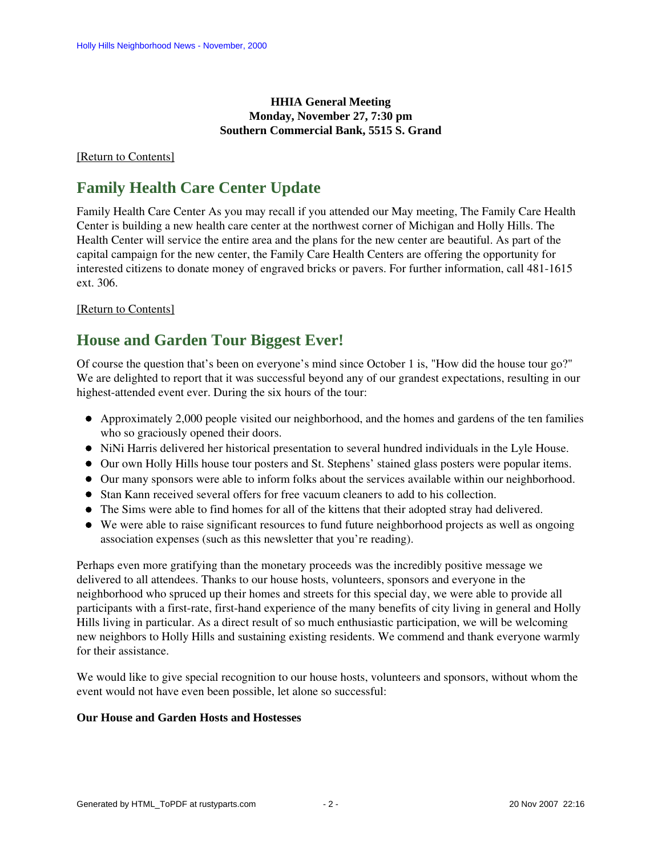#### **HHIA General Meeting Monday, November 27, 7:30 pm Southern Commercial Bank, 5515 S. Grand**

#### <span id="page-1-0"></span>[\[Return to Contents\]](#page-0-1)

## **Family Health Care Center Update**

Family Health Care Center As you may recall if you attended our May meeting, The Family Care Health Center is building a new health care center at the northwest corner of Michigan and Holly Hills. The Health Center will service the entire area and the plans for the new center are beautiful. As part of the capital campaign for the new center, the Family Care Health Centers are offering the opportunity for interested citizens to donate money of engraved bricks or pavers. For further information, call 481-1615 ext. 306.

#### [\[Return to Contents\]](#page-0-1)

### <span id="page-1-1"></span>**House and Garden Tour Biggest Ever!**

Of course the question that's been on everyone's mind since October 1 is, "How did the house tour go?" We are delighted to report that it was successful beyond any of our grandest expectations, resulting in our highest-attended event ever. During the six hours of the tour:

- Approximately 2,000 people visited our neighborhood, and the homes and gardens of the ten families who so graciously opened their doors.
- NiNi Harris delivered her historical presentation to several hundred individuals in the Lyle House.
- Our own Holly Hills house tour posters and St. Stephens' stained glass posters were popular items.
- Our many sponsors were able to inform folks about the services available within our neighborhood.
- Stan Kann received several offers for free vacuum cleaners to add to his collection.
- The Sims were able to find homes for all of the kittens that their adopted stray had delivered.
- We were able to raise significant resources to fund future neighborhood projects as well as ongoing association expenses (such as this newsletter that you're reading).

Perhaps even more gratifying than the monetary proceeds was the incredibly positive message we delivered to all attendees. Thanks to our house hosts, volunteers, sponsors and everyone in the neighborhood who spruced up their homes and streets for this special day, we were able to provide all participants with a first-rate, first-hand experience of the many benefits of city living in general and Holly Hills living in particular. As a direct result of so much enthusiastic participation, we will be welcoming new neighbors to Holly Hills and sustaining existing residents. We commend and thank everyone warmly for their assistance.

We would like to give special recognition to our house hosts, volunteers and sponsors, without whom the event would not have even been possible, let alone so successful:

#### **Our House and Garden Hosts and Hostesses**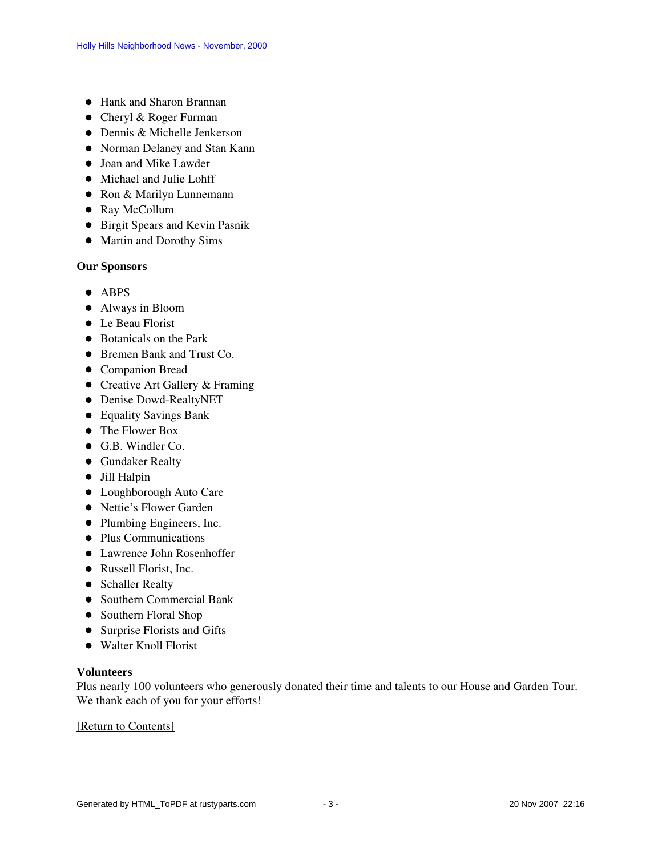- Hank and Sharon Brannan
- Cheryl & Roger Furman
- Dennis & Michelle Jenkerson
- Norman Delaney and Stan Kann
- Joan and Mike Lawder
- $\bullet$  Michael and Julie Lohff
- Ron & Marilyn Lunnemann
- Ray McCollum
- **•** Birgit Spears and Kevin Pasnik
- Martin and Dorothy Sims

#### **Our Sponsors**

- ABPS
- Always in Bloom
- Le Beau Florist
- Botanicals on the Park
- Bremen Bank and Trust Co.
- Companion Bread
- Creative Art Gallery & Framing
- Denise Dowd-RealtyNET
- Equality Savings Bank
- The Flower Box
- G.B. Windler Co.
- **•** Gundaker Realty
- Jill Halpin
- Loughborough Auto Care
- Nettie's Flower Garden
- Plumbing Engineers, Inc.
- Plus Communications
- Lawrence John Rosenhoffer
- Russell Florist, Inc.
- Schaller Realty
- Southern Commercial Bank
- Southern Floral Shop
- Surprise Florists and Gifts
- Walter Knoll Florist

#### **Volunteers**

Plus nearly 100 volunteers who generously donated their time and talents to our House and Garden Tour. We thank each of you for your efforts!

<span id="page-2-0"></span>[\[Return to Contents\]](#page-0-1)